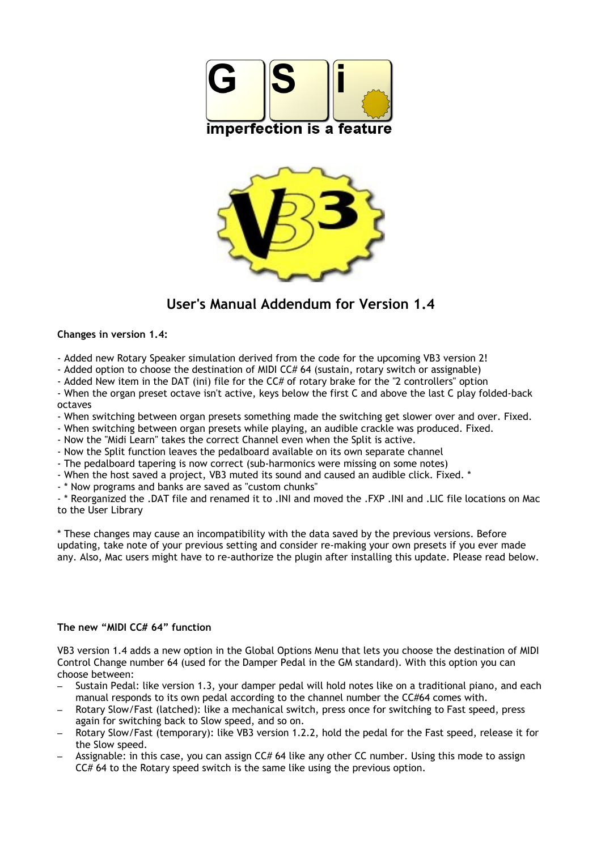



# **User's Manual Addendum for Version 1.4**

# **Changes in version 1.4:**

- Added new Rotary Speaker simulation derived from the code for the upcoming VB3 version 2!

- Added option to choose the destination of MIDI CC# 64 (sustain, rotary switch or assignable)

- Added New item in the DAT (ini) file for the CC# of rotary brake for the "2 controllers" option

- When the organ preset octave isn't active, keys below the first C and above the last C play folded-back octaves

- When switching between organ presets something made the switching get slower over and over. Fixed.

- When switching between organ presets while playing, an audible crackle was produced. Fixed.

- Now the "Midi Learn" takes the correct Channel even when the Split is active.

- Now the Split function leaves the pedalboard available on its own separate channel

- The pedalboard tapering is now correct (sub-harmonics were missing on some notes)

- When the host saved a project, VB3 muted its sound and caused an audible click. Fixed. \*

- \* Now programs and banks are saved as "custom chunks"

- \* Reorganized the .DAT file and renamed it to .INI and moved the .FXP .INI and .LIC file locations on Mac to the User Library

\* These changes may cause an incompatibility with the data saved by the previous versions. Before updating, take note of your previous setting and consider re-making your own presets if you ever made any. Also, Mac users might have to re-authorize the plugin after installing this update. Please read below.

# **The new "MIDI CC# 64" function**

VB3 version 1.4 adds a new option in the Global Options Menu that lets you choose the destination of MIDI Control Change number 64 (used for the Damper Pedal in the GM standard). With this option you can choose between:

- Sustain Pedal: like version 1.3, your damper pedal will hold notes like on a traditional piano, and each manual responds to its own pedal according to the channel number the CC#64 comes with.
- Rotary Slow/Fast (latched): like a mechanical switch, press once for switching to Fast speed, press again for switching back to Slow speed, and so on.
- Rotary Slow/Fast (temporary): like VB3 version 1.2.2, hold the pedal for the Fast speed, release it for the Slow speed.
- Assignable: in this case, you can assign CC# 64 like any other CC number. Using this mode to assign CC# 64 to the Rotary speed switch is the same like using the previous option.